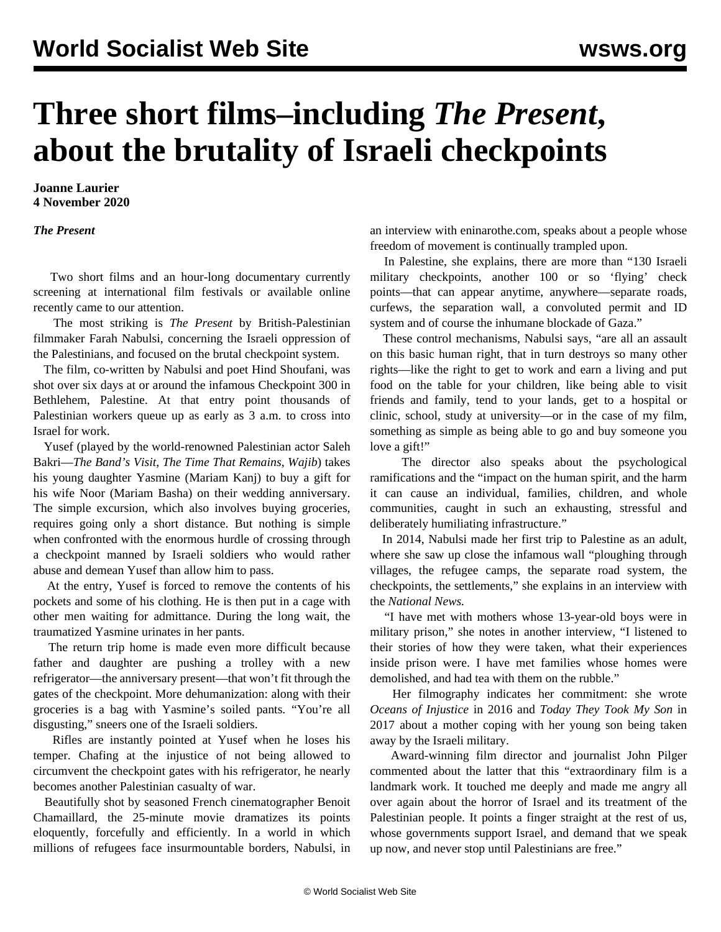## **Three short films–including** *The Present***, about the brutality of Israeli checkpoints**

**Joanne Laurier 4 November 2020**

*The Present*

 Two short films and an hour-long documentary currently screening at international film festivals or available online recently came to our attention.

 The most striking is *The Present* by British-Palestinian filmmaker Farah Nabulsi, concerning the Israeli oppression of the Palestinians, and focused on the brutal checkpoint system.

 The film, co-written by Nabulsi and poet Hind Shoufani, was shot over six days at or around the infamous Checkpoint 300 in Bethlehem, Palestine. At that entry point thousands of Palestinian workers queue up as early as 3 a.m. to cross into Israel for work.

 Yusef (played by the world-renowned Palestinian actor Saleh Bakri—*The Band's Visit*, *The Time That Remains*, *Wajib*) takes his young daughter Yasmine (Mariam Kanj) to buy a gift for his wife Noor (Mariam Basha) on their wedding anniversary. The simple excursion, which also involves buying groceries, requires going only a short distance. But nothing is simple when confronted with the enormous hurdle of crossing through a checkpoint manned by Israeli soldiers who would rather abuse and demean Yusef than allow him to pass.

 At the entry, Yusef is forced to remove the contents of his pockets and some of his clothing. He is then put in a cage with other men waiting for admittance. During the long wait, the traumatized Yasmine urinates in her pants.

 The return trip home is made even more difficult because father and daughter are pushing a trolley with a new refrigerator—the anniversary present—that won't fit through the gates of the checkpoint. More dehumanization: along with their groceries is a bag with Yasmine's soiled pants. "You're all disgusting," sneers one of the Israeli soldiers.

 Rifles are instantly pointed at Yusef when he loses his temper. Chafing at the injustice of not being allowed to circumvent the checkpoint gates with his refrigerator, he nearly becomes another Palestinian casualty of war.

 Beautifully shot by seasoned French cinematographer Benoit Chamaillard, the 25-minute movie dramatizes its points eloquently, forcefully and efficiently. In a world in which millions of refugees face insurmountable borders, Nabulsi, in an interview with eninarothe.com, speaks about a people whose freedom of movement is continually trampled upon.

 In Palestine, she explains, there are more than "130 Israeli military checkpoints, another 100 or so 'flying' check points—that can appear anytime, anywhere—separate roads, curfews, the separation wall, a convoluted permit and ID system and of course the inhumane blockade of Gaza."

 These control mechanisms, Nabulsi says, "are all an assault on this basic human right, that in turn destroys so many other rights—like the right to get to work and earn a living and put food on the table for your children, like being able to visit friends and family, tend to your lands, get to a hospital or clinic, school, study at university—or in the case of my film, something as simple as being able to go and buy someone you love a gift!"

 The director also speaks about the psychological ramifications and the "impact on the human spirit, and the harm it can cause an individual, families, children, and whole communities, caught in such an exhausting, stressful and deliberately humiliating infrastructure."

 In 2014, Nabulsi made her first trip to Palestine as an adult, where she saw up close the infamous wall "ploughing through villages, the refugee camps, the separate road system, the checkpoints, the settlements," she explains in an interview with the *National News.*

 "I have met with mothers whose 13-year-old boys were in military prison," she notes in another interview, "I listened to their stories of how they were taken, what their experiences inside prison were. I have met families whose homes were demolished, and had tea with them on the rubble."

 Her filmography indicates her commitment: she wrote *Oceans of Injustice* in 2016 and *Today They Took My Son* in 2017 about a mother coping with her young son being taken away by the Israeli military.

 Award-winning film director and journalist John Pilger commented about the latter that this "extraordinary film is a landmark work. It touched me deeply and made me angry all over again about the horror of Israel and its treatment of the Palestinian people. It points a finger straight at the rest of us, whose governments support Israel, and demand that we speak up now, and never stop until Palestinians are free."